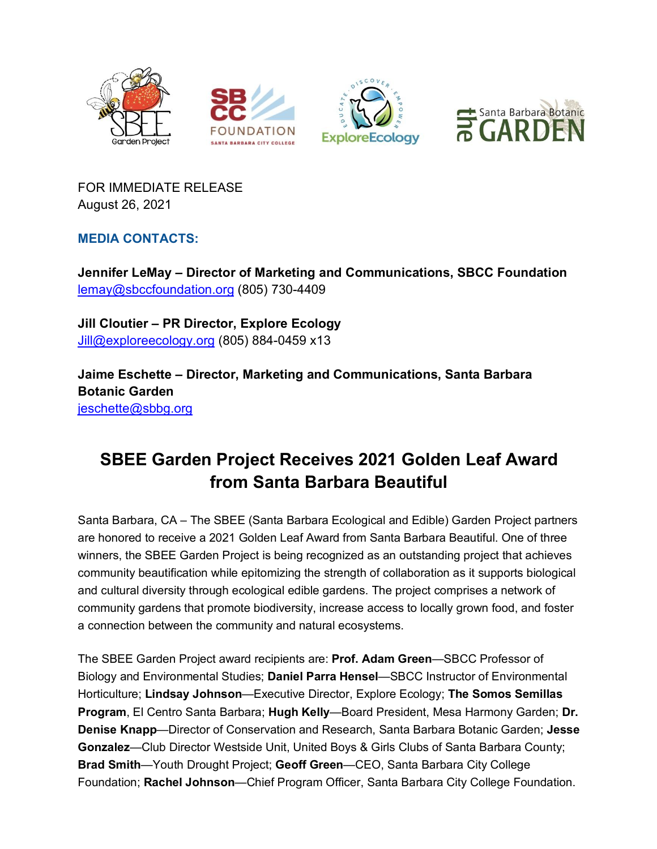

FOR IMMEDIATE RELEASE August 26, 2021

### **MEDIA CONTACTS:**

**Jennifer LeMay – Director of Marketing and Communications, SBCC Foundation** lemay@sbccfoundation.org (805) 730-4409

**Jill Cloutier – PR Director, Explore Ecology** Jill@exploreecology.org (805) 884-0459 x13

**Jaime Eschette – Director, Marketing and Communications, Santa Barbara Botanic Garden** jeschette@sbbg.org

## **SBEE Garden Project Receives 2021 Golden Leaf Award from Santa Barbara Beautiful**

Santa Barbara, CA – The SBEE (Santa Barbara Ecological and Edible) Garden Project partners are honored to receive a 2021 Golden Leaf Award from Santa Barbara Beautiful. One of three winners, the SBEE Garden Project is being recognized as an outstanding project that achieves community beautification while epitomizing the strength of collaboration as it supports biological and cultural diversity through ecological edible gardens. The project comprises a network of community gardens that promote biodiversity, increase access to locally grown food, and foster a connection between the community and natural ecosystems.

The SBEE Garden Project award recipients are: **Prof. Adam Green**—SBCC Professor of Biology and Environmental Studies; **Daniel Parra Hensel**—SBCC Instructor of Environmental Horticulture; **Lindsay Johnson**—Executive Director, Explore Ecology; **The Somos Semillas Program**, El Centro Santa Barbara; **Hugh Kelly**—Board President, Mesa Harmony Garden; **Dr. Denise Knapp**—Director of Conservation and Research, Santa Barbara Botanic Garden; **Jesse Gonzalez**—Club Director Westside Unit, United Boys & Girls Clubs of Santa Barbara County; **Brad Smith**—Youth Drought Project; **Geoff Green**—CEO, Santa Barbara City College Foundation; **Rachel Johnson**—Chief Program Officer, Santa Barbara City College Foundation.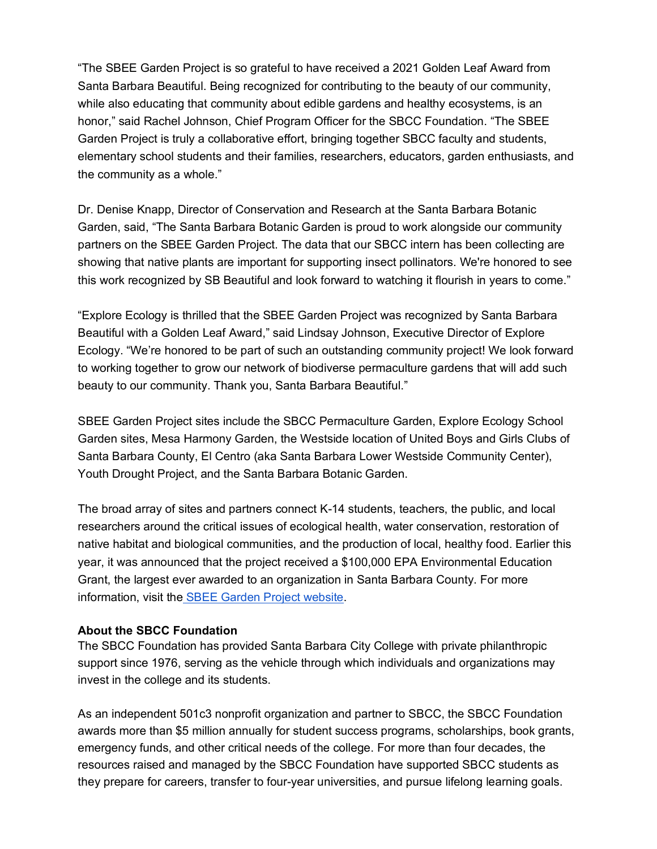"The SBEE Garden Project is so grateful to have received a 2021 Golden Leaf Award from Santa Barbara Beautiful. Being recognized for contributing to the beauty of our community, while also educating that community about edible gardens and healthy ecosystems, is an honor," said Rachel Johnson, Chief Program Officer for the SBCC Foundation. "The SBEE Garden Project is truly a collaborative effort, bringing together SBCC faculty and students, elementary school students and their families, researchers, educators, garden enthusiasts, and the community as a whole."

Dr. Denise Knapp, Director of Conservation and Research at the Santa Barbara Botanic Garden, said, "The Santa Barbara Botanic Garden is proud to work alongside our community partners on the SBEE Garden Project. The data that our SBCC intern has been collecting are showing that native plants are important for supporting insect pollinators. We're honored to see this work recognized by SB Beautiful and look forward to watching it flourish in years to come."

"Explore Ecology is thrilled that the SBEE Garden Project was recognized by Santa Barbara Beautiful with a Golden Leaf Award," said Lindsay Johnson, Executive Director of Explore Ecology. "We're honored to be part of such an outstanding community project! We look forward to working together to grow our network of biodiverse permaculture gardens that will add such beauty to our community. Thank you, Santa Barbara Beautiful."

SBEE Garden Project sites include the SBCC Permaculture Garden, Explore Ecology School Garden sites, Mesa Harmony Garden, the Westside location of United Boys and Girls Clubs of Santa Barbara County, El Centro (aka Santa Barbara Lower Westside Community Center), Youth Drought Project, and the Santa Barbara Botanic Garden.

The broad array of sites and partners connect K-14 students, teachers, the public, and local researchers around the critical issues of ecological health, water conservation, restoration of native habitat and biological communities, and the production of local, healthy food. Earlier this year, it was announced that the project received a \$100,000 EPA Environmental Education Grant, the largest ever awarded to an organization in Santa Barbara County. For more information, visit the SBEE Garden Project website.

#### **About the SBCC Foundation**

The SBCC Foundation has provided Santa Barbara City College with private philanthropic support since 1976, serving as the vehicle through which individuals and organizations may invest in the college and its students.

As an independent 501c3 nonprofit organization and partner to SBCC, the SBCC Foundation awards more than \$5 million annually for student success programs, scholarships, book grants, emergency funds, and other critical needs of the college. For more than four decades, the resources raised and managed by the SBCC Foundation have supported SBCC students as they prepare for careers, transfer to four-year universities, and pursue lifelong learning goals.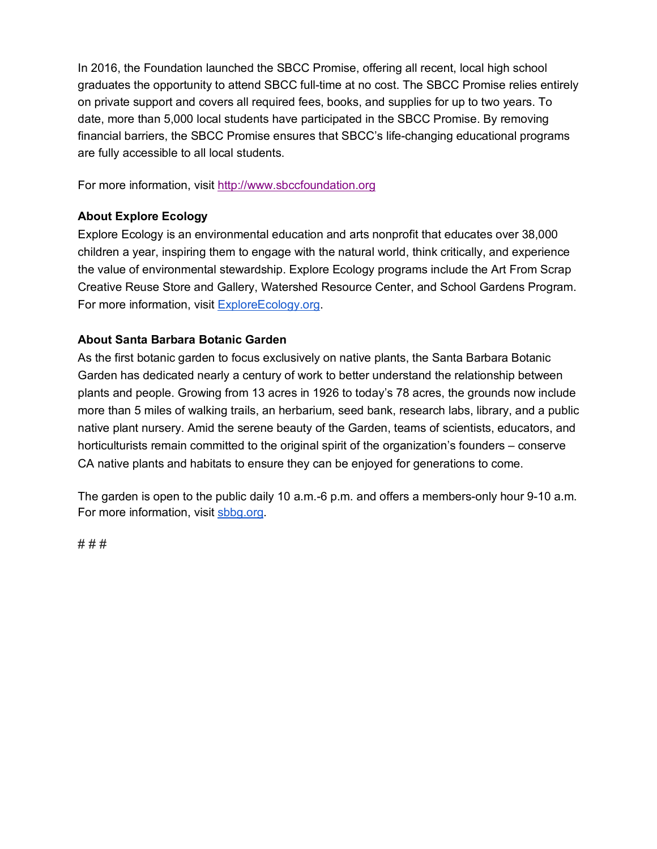In 2016, the Foundation launched the SBCC Promise, offering all recent, local high school graduates the opportunity to attend SBCC full-time at no cost. The SBCC Promise relies entirely on private support and covers all required fees, books, and supplies for up to two years. To date, more than 5,000 local students have participated in the SBCC Promise. By removing financial barriers, the SBCC Promise ensures that SBCC's life-changing educational programs are fully accessible to all local students.

For more information, visit http://www.sbccfoundation.org

#### **About Explore Ecology**

Explore Ecology is an environmental education and arts nonprofit that educates over 38,000 children a year, inspiring them to engage with the natural world, think critically, and experience the value of environmental stewardship. Explore Ecology programs include the Art From Scrap Creative Reuse Store and Gallery, Watershed Resource Center, and School Gardens Program. For more information, visit ExploreEcology.org.

#### **About Santa Barbara Botanic Garden**

As the first botanic garden to focus exclusively on native plants, the Santa Barbara Botanic Garden has dedicated nearly a century of work to better understand the relationship between plants and people. Growing from 13 acres in 1926 to today's 78 acres, the grounds now include more than 5 miles of walking trails, an herbarium, seed bank, research labs, library, and a public native plant nursery. Amid the serene beauty of the Garden, teams of scientists, educators, and horticulturists remain committed to the original spirit of the organization's founders – conserve CA native plants and habitats to ensure they can be enjoyed for generations to come.

The garden is open to the public daily 10 a.m.-6 p.m. and offers a members-only hour 9-10 a.m. For more information, visit sbbg.org.

# # #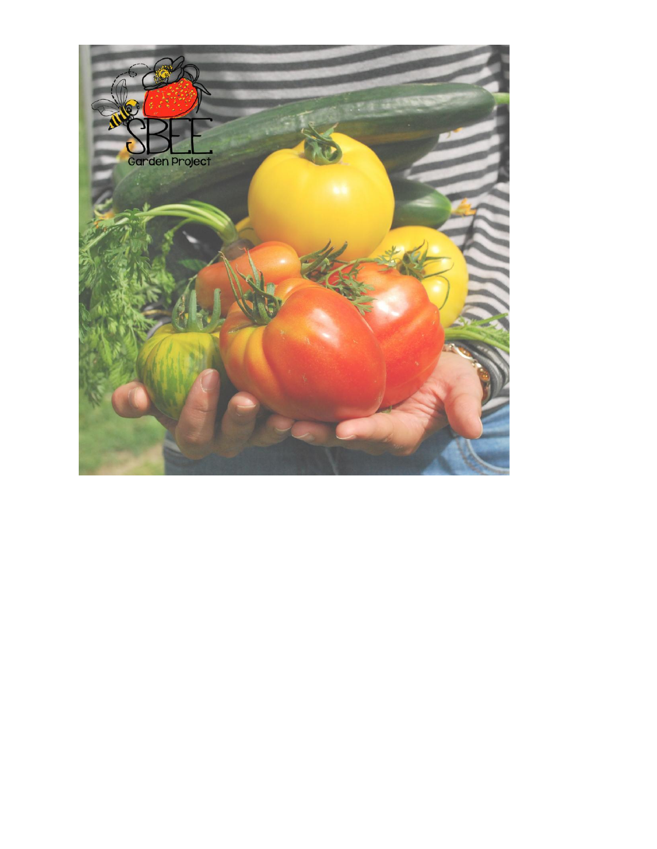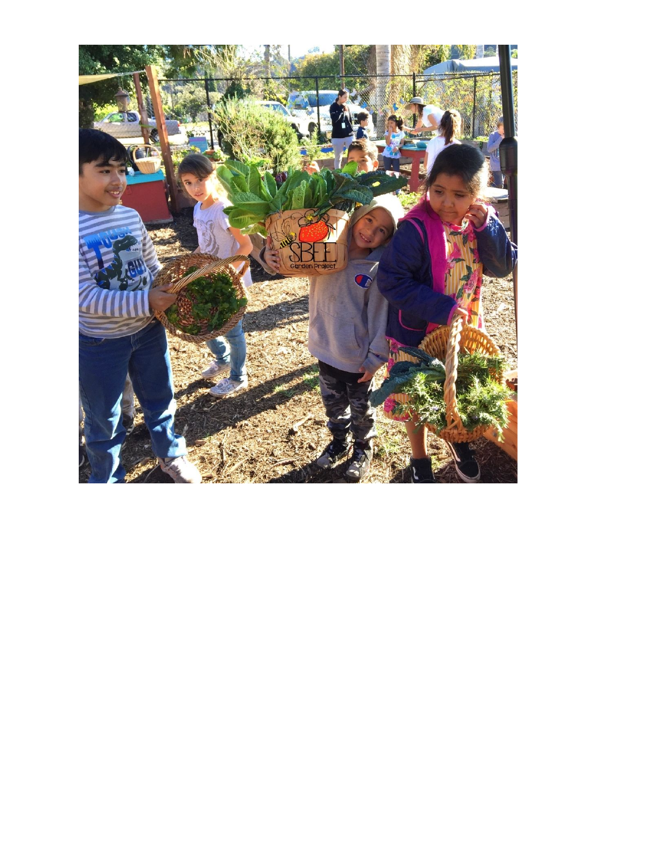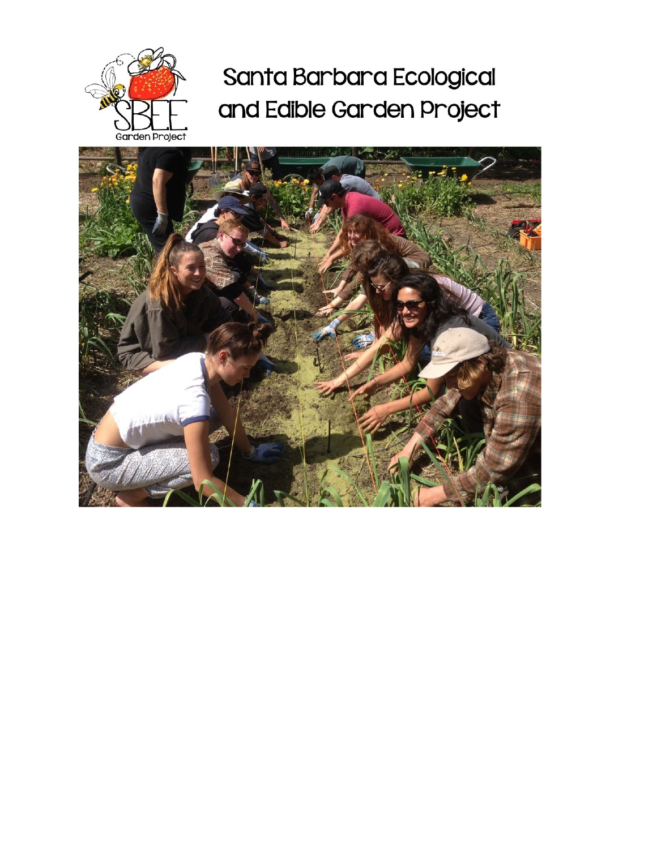

# Santa Barbara Ecological and Edible Garden Project